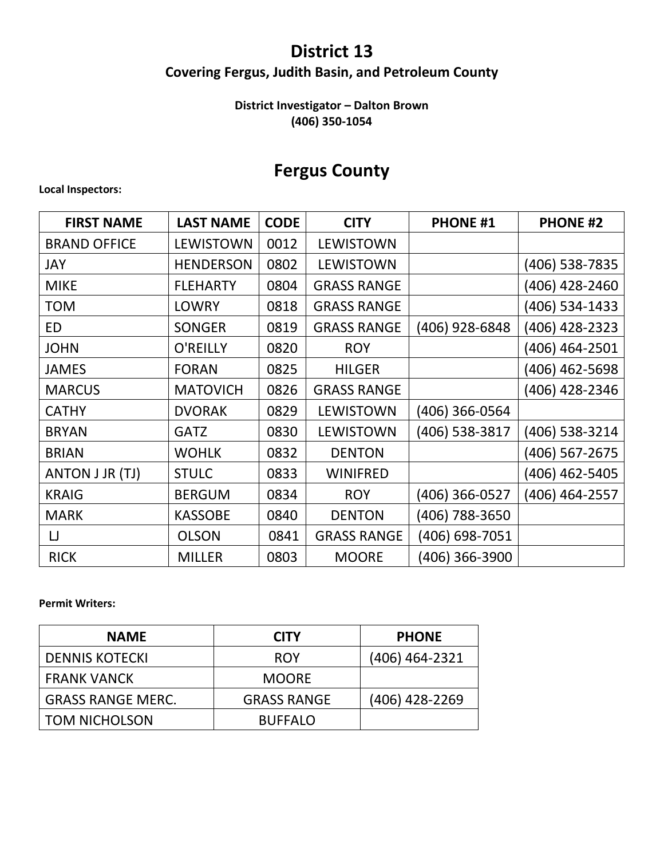## **District 13**

## **Covering Fergus, Judith Basin, and Petroleum County**

### **District Investigator – Dalton Brown (406) 350-1054**

## **Fergus County**

#### **Local Inspectors:**

| <b>FIRST NAME</b>   | <b>LAST NAME</b> | <b>CODE</b> | <b>CITY</b>        | <b>PHONE #1</b> | <b>PHONE #2</b> |
|---------------------|------------------|-------------|--------------------|-----------------|-----------------|
| <b>BRAND OFFICE</b> | <b>LEWISTOWN</b> | 0012        | <b>LEWISTOWN</b>   |                 |                 |
| JAY                 | <b>HENDERSON</b> | 0802        | <b>LEWISTOWN</b>   |                 | (406) 538-7835  |
| <b>MIKE</b>         | <b>FLEHARTY</b>  | 0804        | <b>GRASS RANGE</b> |                 | (406) 428-2460  |
| <b>TOM</b>          | <b>LOWRY</b>     | 0818        | <b>GRASS RANGE</b> |                 | (406) 534-1433  |
| <b>ED</b>           | <b>SONGER</b>    | 0819        | <b>GRASS RANGE</b> | (406) 928-6848  | 406) 428-2323   |
| <b>JOHN</b>         | O'REILLY         | 0820        | <b>ROY</b>         |                 | (406) 464-2501  |
| <b>JAMES</b>        | <b>FORAN</b>     | 0825        | <b>HILGER</b>      |                 | (406) 462-5698  |
| <b>MARCUS</b>       | <b>MATOVICH</b>  | 0826        | <b>GRASS RANGE</b> |                 | (406) 428-2346  |
| <b>CATHY</b>        | <b>DVORAK</b>    | 0829        | <b>LEWISTOWN</b>   | (406) 366-0564  |                 |
| <b>BRYAN</b>        | <b>GATZ</b>      | 0830        | <b>LEWISTOWN</b>   | (406) 538-3817  | (406) 538-3214  |
| <b>BRIAN</b>        | <b>WOHLK</b>     | 0832        | <b>DENTON</b>      |                 | (406) 567-2675  |
| ANTON J JR (TJ)     | <b>STULC</b>     | 0833        | <b>WINIFRED</b>    |                 | (406) 462-5405  |
| <b>KRAIG</b>        | <b>BERGUM</b>    | 0834        | <b>ROY</b>         | (406) 366-0527  | (406) 464-2557  |
| <b>MARK</b>         | <b>KASSOBE</b>   | 0840        | <b>DENTON</b>      | (406) 788-3650  |                 |
| IJ                  | <b>OLSON</b>     | 0841        | <b>GRASS RANGE</b> | 406) 698-7051   |                 |
| <b>RICK</b>         | <b>MILLER</b>    | 0803        | <b>MOORE</b>       | 406) 366-3900   |                 |

#### **Permit Writers:**

| <b>NAME</b>              | <b>CITY</b>        | <b>PHONE</b>   |
|--------------------------|--------------------|----------------|
| <b>DENNIS KOTECKI</b>    | <b>ROY</b>         | (406) 464-2321 |
| <b>FRANK VANCK</b>       | <b>MOORE</b>       |                |
| <b>GRASS RANGE MERC.</b> | <b>GRASS RANGE</b> | (406) 428-2269 |
| I TOM NICHOLSON          | <b>BUFFALO</b>     |                |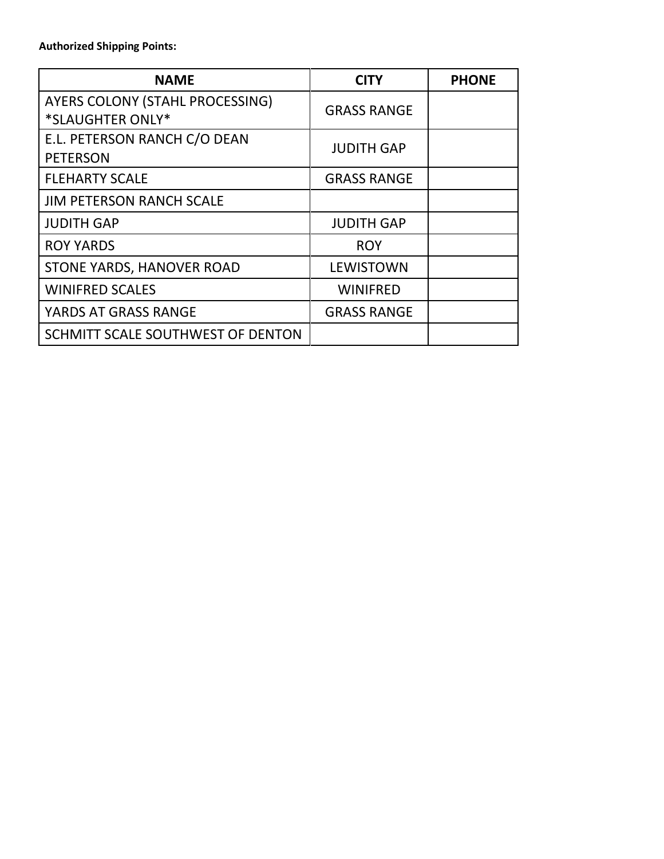#### **Authorized Shipping Points:**

| <b>NAME</b>                       | CITY               | <b>PHONE</b> |
|-----------------------------------|--------------------|--------------|
| AYERS COLONY (STAHL PROCESSING)   | <b>GRASS RANGE</b> |              |
| *SLAUGHTER ONLY*                  |                    |              |
| E.L. PETERSON RANCH C/O DEAN      | <b>JUDITH GAP</b>  |              |
| <b>PETERSON</b>                   |                    |              |
| <b>FLEHARTY SCALE</b>             | <b>GRASS RANGE</b> |              |
| <b>JIM PETERSON RANCH SCALE</b>   |                    |              |
| <b>JUDITH GAP</b>                 | <b>JUDITH GAP</b>  |              |
| <b>ROY YARDS</b>                  | <b>ROY</b>         |              |
| STONE YARDS, HANOVER ROAD         | <b>LEWISTOWN</b>   |              |
| <b>WINIFRED SCALES</b>            | <b>WINIFRED</b>    |              |
| YARDS AT GRASS RANGE              | <b>GRASS RANGE</b> |              |
| SCHMITT SCALE SOUTHWEST OF DENTON |                    |              |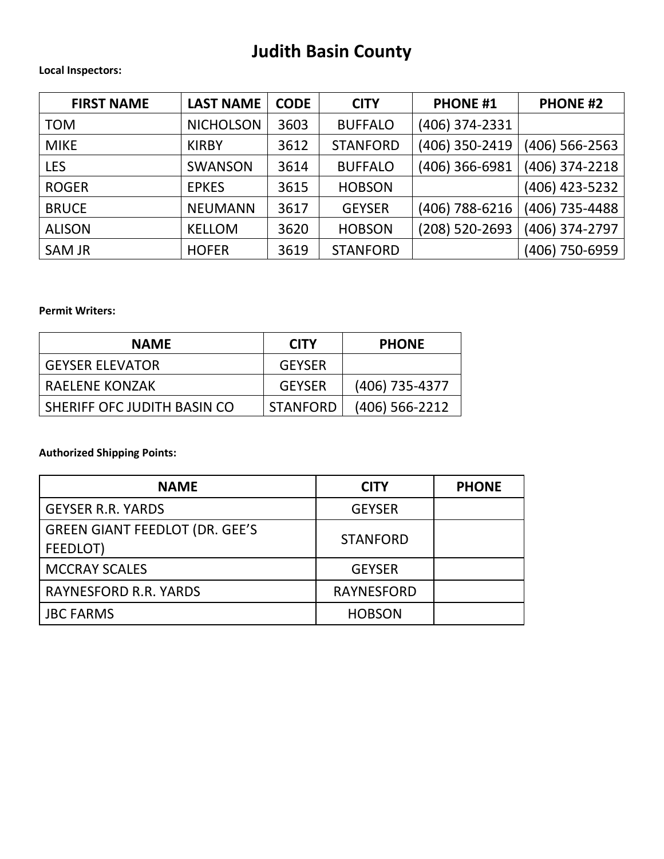## **Judith Basin County**

#### **Local Inspectors:**

| <b>FIRST NAME</b> | <b>LAST NAME</b> | <b>CODE</b> | <b>CITY</b>     | <b>PHONE #1</b> | <b>PHONE #2</b>  |
|-------------------|------------------|-------------|-----------------|-----------------|------------------|
| <b>TOM</b>        | <b>NICHOLSON</b> | 3603        | <b>BUFFALO</b>  | (406) 374-2331  |                  |
| <b>MIKE</b>       | <b>KIRBY</b>     | 3612        | <b>STANFORD</b> | (406) 350-2419  | $(406)$ 566-2563 |
| <b>LES</b>        | <b>SWANSON</b>   | 3614        | <b>BUFFALO</b>  | (406) 366-6981  | (406) 374-2218   |
| <b>ROGER</b>      | <b>EPKES</b>     | 3615        | <b>HOBSON</b>   |                 | (406) 423-5232   |
| <b>BRUCE</b>      | <b>NEUMANN</b>   | 3617        | <b>GEYSER</b>   | (406) 788-6216  | (406) 735-4488   |
| <b>ALISON</b>     | <b>KELLOM</b>    | 3620        | <b>HOBSON</b>   | (208) 520-2693  | (406) 374-2797   |
| <b>SAM JR</b>     | <b>HOFER</b>     | 3619        | <b>STANFORD</b> |                 | (406) 750-6959   |

#### **Permit Writers:**

| <b>NAME</b>                 | <b>CITY</b>     | <b>PHONE</b>     |
|-----------------------------|-----------------|------------------|
| <b>GEYSER ELEVATOR</b>      | <b>GEYSER</b>   |                  |
| <b>RAELENE KONZAK</b>       | <b>GEYSER</b>   | (406) 735-4377   |
| SHERIFF OFC JUDITH BASIN CO | <b>STANFORD</b> | $(406)$ 566-2212 |

### **Authorized Shipping Points:**

| <b>NAME</b>                                       | <b>CITY</b>       | <b>PHONE</b> |
|---------------------------------------------------|-------------------|--------------|
| <b>GEYSER R.R. YARDS</b>                          | <b>GEYSER</b>     |              |
| <b>GREEN GIANT FEEDLOT (DR. GEE'S</b><br>FEEDLOT) | <b>STANFORD</b>   |              |
| <b>MCCRAY SCALES</b>                              | <b>GEYSER</b>     |              |
| <b>RAYNESFORD R.R. YARDS</b>                      | <b>RAYNESFORD</b> |              |
| <b>JBC FARMS</b>                                  | <b>HOBSON</b>     |              |